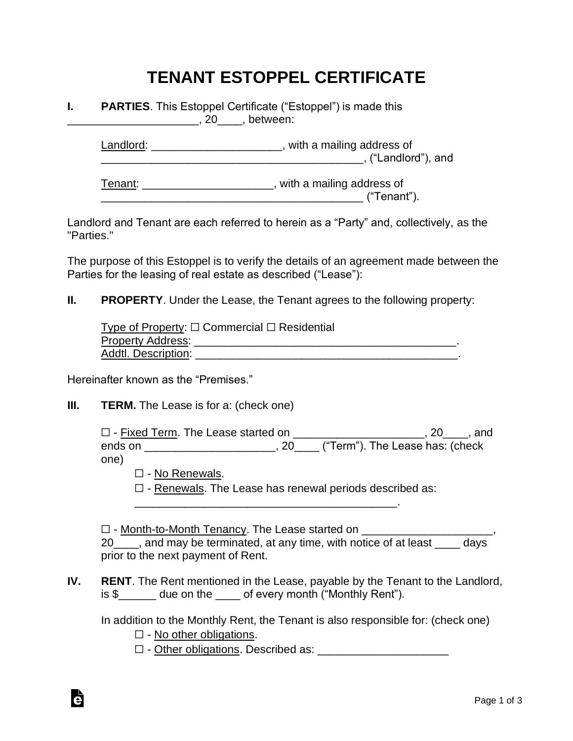# **TENANT ESTOPPEL CERTIFICATE**

#### **I. PARTIES**. This Estoppel Certificate ("Estoppel") is made this  $\overline{20}$  , between:

Landlord: Landlord: Landlord: \_\_\_\_\_\_\_\_\_\_\_\_\_\_\_\_\_\_\_\_\_\_\_\_\_\_\_\_\_\_\_\_\_\_\_\_\_\_\_\_\_\_, ("Landlord"), and

Tenant: \_\_\_\_\_\_\_\_\_\_\_\_\_\_\_\_\_\_\_\_\_, with a mailing address of \_\_\_\_\_\_\_\_\_\_\_\_\_\_\_\_\_\_\_\_\_\_\_\_\_\_\_\_\_\_\_\_\_\_\_\_\_\_\_\_\_\_ ("Tenant").

Landlord and Tenant are each referred to herein as a "Party" and, collectively, as the "Parties."

The purpose of this Estoppel is to verify the details of an agreement made between the Parties for the leasing of real estate as described ("Lease"):

#### **II. PROPERTY**. Under the Lease, the Tenant agrees to the following property:

Type of Property: □ Commercial □ Residential Property Address: \_\_\_\_\_\_\_\_\_\_\_\_\_\_\_\_\_\_\_\_\_\_\_\_\_\_\_\_\_\_\_\_\_\_\_\_\_\_\_\_\_\_. Addtl. Description: **We are all that the set of the set of the set of the set of the set of the set of the set of the set of the set of the set of the set of the set of the set of the set of the set of the set of the set o** 

Hereinafter known as the "Premises."

#### **III. TERM.** The Lease is for a: (check one)

☐ - Fixed Term. The Lease started on \_\_\_\_\_\_\_\_\_\_\_\_\_\_\_\_\_\_\_\_\_, 20\_\_\_\_, and ends on \_\_\_\_\_\_\_\_\_\_\_\_\_\_\_\_\_\_\_\_\_\_, 20\_\_\_\_ ("Term"). The Lease has: (check one)

□ - No Renewals.

☐ - Renewals. The Lease has renewal periods described as:

\_\_\_\_\_\_\_\_\_\_\_\_\_\_\_\_\_\_\_\_\_\_\_\_\_\_\_\_\_\_\_\_\_\_\_\_\_\_\_\_\_\_.

□ - Month-to-Month Tenancy. The Lease started on \_\_\_\_\_\_\_\_\_\_\_\_\_\_\_\_\_\_\_\_\_\_\_\_\_\_\_\_\_\_\_ 20 and may be terminated, at any time, with notice of at least days prior to the next payment of Rent.

**IV. RENT**. The Rent mentioned in the Lease, payable by the Tenant to the Landlord, is \$ due on the of every month ("Monthly Rent").

In addition to the Monthly Rent, the Tenant is also responsible for: (check one)

 $\Box$  - No other obligations.

à

 $\Box$  - Other obligations. Described as: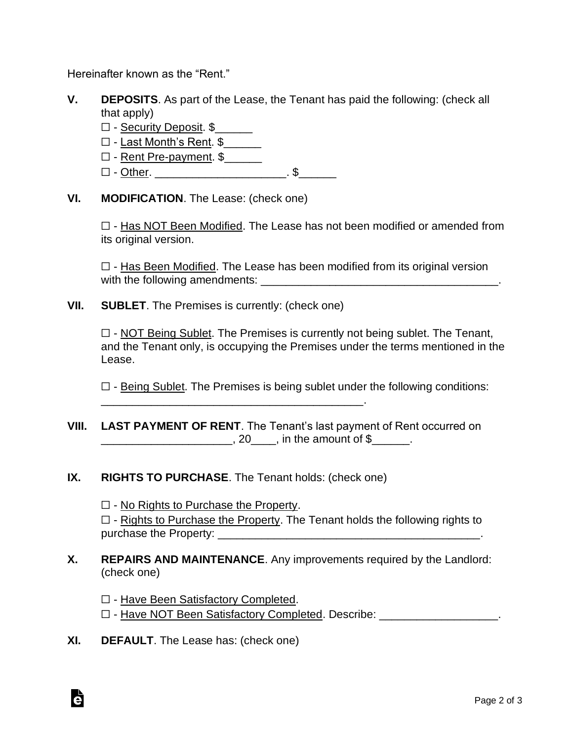Hereinafter known as the "Rent."

- **V. DEPOSITS**. As part of the Lease, the Tenant has paid the following: (check all that apply)
	- $\Box$  Security Deposit.  $\$$
	- $\Box$  Last Month's Rent.  $\$$
	- ☐ Rent Pre-payment. \$\_\_\_\_\_\_
	- □ <u>Other</u>. \_\_\_\_\_\_\_\_\_\_\_\_\_\_\_\_\_\_\_\_\_\_\_\_\_. \$\_\_\_\_\_\_\_
- **VI. MODIFICATION**. The Lease: (check one)

☐ - Has NOT Been Modified. The Lease has not been modified or amended from its original version.

 $\Box$  - Has Been Modified. The Lease has been modified from its original version with the following amendments: \_\_\_\_\_\_\_\_\_\_\_\_\_\_\_\_\_\_\_\_\_\_\_\_\_\_\_\_\_\_\_\_\_\_\_\_\_\_.

**VII. SUBLET**. The Premises is currently: (check one)

 $\Box$  - NOT Being Sublet. The Premises is currently not being sublet. The Tenant, and the Tenant only, is occupying the Premises under the terms mentioned in the Lease.

 $\Box$  - Being Sublet. The Premises is being sublet under the following conditions:

- **VIII. LAST PAYMENT OF RENT**. The Tenant's last payment of Rent occurred on \_\_\_\_\_\_\_\_\_\_\_\_\_\_\_\_\_\_\_\_\_\_\_\_\_\_\_, 20\_\_\_\_\_, in the amount of \$\_\_\_\_\_\_\_.
- **IX. RIGHTS TO PURCHASE**. The Tenant holds: (check one)

 $\Box$  - No Rights to Purchase the Property.  $\Box$  - Rights to Purchase the Property. The Tenant holds the following rights to purchase the Property: \_\_\_\_\_\_\_\_\_\_\_\_\_\_\_\_\_\_\_\_\_\_\_\_\_\_\_\_\_\_\_\_\_\_\_\_\_\_\_\_\_\_.

**X. REPAIRS AND MAINTENANCE**. Any improvements required by the Landlord: (check one)

☐ - Have Been Satisfactory Completed. ☐ - Have NOT Been Satisfactory Completed. Describe: \_\_\_\_\_\_\_\_\_\_\_\_\_\_\_\_\_\_\_.

**XI. DEFAULT**. The Lease has: (check one)

à